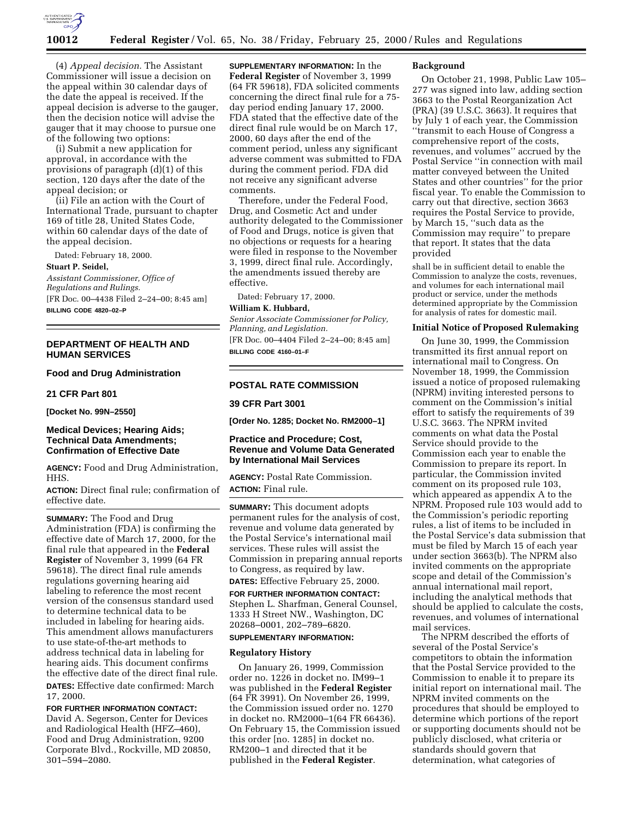

(4) *Appeal decision.* The Assistant Commissioner will issue a decision on the appeal within 30 calendar days of the date the appeal is received. If the appeal decision is adverse to the gauger, then the decision notice will advise the gauger that it may choose to pursue one of the following two options:

(i) Submit a new application for approval, in accordance with the provisions of paragraph (d)(1) of this section, 120 days after the date of the appeal decision; or

(ii) File an action with the Court of International Trade, pursuant to chapter 169 of title 28, United States Code, within 60 calendar days of the date of the appeal decision.

Dated: February 18, 2000.

#### **Stuart P. Seidel,**

*Assistant Commissioner, Office of Regulations and Rulings.* [FR Doc. 00–4438 Filed 2–24–00; 8:45 am]

**BILLING CODE 4820–02–P**

## **DEPARTMENT OF HEALTH AND HUMAN SERVICES**

# **Food and Drug Administration**

#### **21 CFR Part 801**

**[Docket No. 99N–2550]**

# **Medical Devices; Hearing Aids; Technical Data Amendments; Confirmation of Effective Date**

**AGENCY:** Food and Drug Administration, HHS.

**ACTION:** Direct final rule; confirmation of effective date.

**SUMMARY:** The Food and Drug Administration (FDA) is confirming the effective date of March 17, 2000, for the final rule that appeared in the **Federal Register** of November 3, 1999 (64 FR 59618). The direct final rule amends regulations governing hearing aid labeling to reference the most recent version of the consensus standard used to determine technical data to be included in labeling for hearing aids. This amendment allows manufacturers to use state-of-the-art methods to address technical data in labeling for hearing aids. This document confirms the effective date of the direct final rule. **DATES:** Effective date confirmed: March 17, 2000.

**FOR FURTHER INFORMATION CONTACT:** David A. Segerson, Center for Devices and Radiological Health (HFZ–460), Food and Drug Administration, 9200 Corporate Blvd., Rockville, MD 20850, 301–594–2080.

**SUPPLEMENTARY INFORMATION:** In the **Federal Register** of November 3, 1999 (64 FR 59618), FDA solicited comments concerning the direct final rule for a 75 day period ending January 17, 2000. FDA stated that the effective date of the direct final rule would be on March 17, 2000, 60 days after the end of the comment period, unless any significant adverse comment was submitted to FDA during the comment period. FDA did not receive any significant adverse comments.

Therefore, under the Federal Food, Drug, and Cosmetic Act and under authority delegated to the Commissioner of Food and Drugs, notice is given that no objections or requests for a hearing were filed in response to the November 3, 1999, direct final rule. Accordingly, the amendments issued thereby are effective.

Dated: February 17, 2000. **William K. Hubbard,**

# *Senior Associate Commissioner for Policy,*

*Planning, and Legislation.* [FR Doc. 00–4404 Filed 2–24–00; 8:45 am]

**BILLING CODE 4160–01–F**

## **POSTAL RATE COMMISSION**

## **39 CFR Part 3001**

**[Order No. 1285; Docket No. RM2000–1]**

## **Practice and Procedure; Cost, Revenue and Volume Data Generated by International Mail Services**

**AGENCY:** Postal Rate Commission. **ACTION:** Final rule.

**SUMMARY:** This document adopts permanent rules for the analysis of cost, revenue and volume data generated by the Postal Service's international mail services. These rules will assist the Commission in preparing annual reports to Congress, as required by law.

# **DATES:** Effective February 25, 2000.

**FOR FURTHER INFORMATION CONTACT:** Stephen L. Sharfman, General Counsel, 1333 H Street NW., Washington, DC 20268–0001, 202–789–6820.

# **SUPPLEMENTARY INFORMATION:**

## **Regulatory History**

On January 26, 1999, Commission order no. 1226 in docket no. IM99–1 was published in the **Federal Register** (64 FR 3991). On November 26, 1999, the Commission issued order no. 1270 in docket no. RM2000–1(64 FR 66436). On February 15, the Commission issued this order [no. 1285] in docket no. RM200–1 and directed that it be published in the **Federal Register**.

#### **Background**

On October 21, 1998, Public Law 105– 277 was signed into law, adding section 3663 to the Postal Reorganization Act (PRA) (39 U.S.C. 3663). It requires that by July 1 of each year, the Commission ''transmit to each House of Congress a comprehensive report of the costs, revenues, and volumes'' accrued by the Postal Service ''in connection with mail matter conveyed between the United States and other countries'' for the prior fiscal year. To enable the Commission to carry out that directive, section 3663 requires the Postal Service to provide, by March 15, ''such data as the Commission may require'' to prepare that report. It states that the data provided

shall be in sufficient detail to enable the Commission to analyze the costs, revenues, and volumes for each international mail product or service, under the methods determined appropriate by the Commission for analysis of rates for domestic mail.

#### **Initial Notice of Proposed Rulemaking**

On June 30, 1999, the Commission transmitted its first annual report on international mail to Congress. On November 18, 1999, the Commission issued a notice of proposed rulemaking (NPRM) inviting interested persons to comment on the Commission's initial effort to satisfy the requirements of 39 U.S.C. 3663. The NPRM invited comments on what data the Postal Service should provide to the Commission each year to enable the Commission to prepare its report. In particular, the Commission invited comment on its proposed rule 103, which appeared as appendix A to the NPRM. Proposed rule 103 would add to the Commission's periodic reporting rules, a list of items to be included in the Postal Service's data submission that must be filed by March 15 of each year under section 3663(b). The NPRM also invited comments on the appropriate scope and detail of the Commission's annual international mail report, including the analytical methods that should be applied to calculate the costs, revenues, and volumes of international mail services.

The NPRM described the efforts of several of the Postal Service's competitors to obtain the information that the Postal Service provided to the Commission to enable it to prepare its initial report on international mail. The NPRM invited comments on the procedures that should be employed to determine which portions of the report or supporting documents should not be publicly disclosed, what criteria or standards should govern that determination, what categories of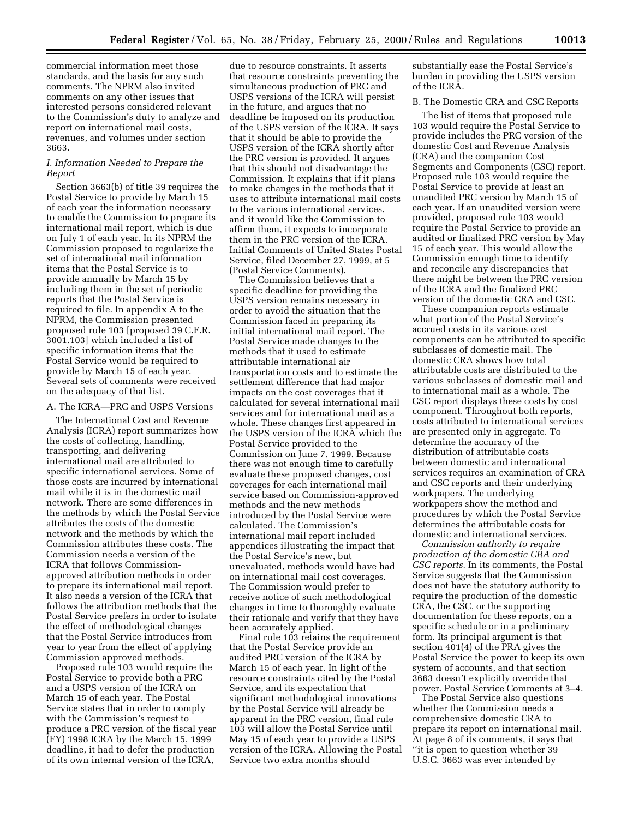commercial information meet those standards, and the basis for any such comments. The NPRM also invited comments on any other issues that interested persons considered relevant to the Commission's duty to analyze and report on international mail costs, revenues, and volumes under section 3663.

# *I. Information Needed to Prepare the Report*

Section 3663(b) of title 39 requires the Postal Service to provide by March 15 of each year the information necessary to enable the Commission to prepare its international mail report, which is due on July 1 of each year. In its NPRM the Commission proposed to regularize the set of international mail information items that the Postal Service is to provide annually by March 15 by including them in the set of periodic reports that the Postal Service is required to file. In appendix A to the NPRM, the Commission presented proposed rule 103 [proposed 39 C.F.R. 3001.103] which included a list of specific information items that the Postal Service would be required to provide by March 15 of each year. Several sets of comments were received on the adequacy of that list.

#### A. The ICRA—PRC and USPS Versions

The International Cost and Revenue Analysis (ICRA) report summarizes how the costs of collecting, handling, transporting, and delivering international mail are attributed to specific international services. Some of those costs are incurred by international mail while it is in the domestic mail network. There are some differences in the methods by which the Postal Service attributes the costs of the domestic network and the methods by which the Commission attributes these costs. The Commission needs a version of the ICRA that follows Commissionapproved attribution methods in order to prepare its international mail report. It also needs a version of the ICRA that follows the attribution methods that the Postal Service prefers in order to isolate the effect of methodological changes that the Postal Service introduces from year to year from the effect of applying Commission approved methods.

Proposed rule 103 would require the Postal Service to provide both a PRC and a USPS version of the ICRA on March 15 of each year. The Postal Service states that in order to comply with the Commission's request to produce a PRC version of the fiscal year (FY) 1998 ICRA by the March 15, 1999 deadline, it had to defer the production of its own internal version of the ICRA,

due to resource constraints. It asserts that resource constraints preventing the simultaneous production of PRC and USPS versions of the ICRA will persist in the future, and argues that no deadline be imposed on its production of the USPS version of the ICRA. It says that it should be able to provide the USPS version of the ICRA shortly after the PRC version is provided. It argues that this should not disadvantage the Commission. It explains that if it plans to make changes in the methods that it uses to attribute international mail costs to the various international services, and it would like the Commission to affirm them, it expects to incorporate them in the PRC version of the ICRA. Initial Comments of United States Postal Service, filed December 27, 1999, at 5 (Postal Service Comments).

The Commission believes that a specific deadline for providing the USPS version remains necessary in order to avoid the situation that the Commission faced in preparing its initial international mail report. The Postal Service made changes to the methods that it used to estimate attributable international air transportation costs and to estimate the settlement difference that had major impacts on the cost coverages that it calculated for several international mail services and for international mail as a whole. These changes first appeared in the USPS version of the ICRA which the Postal Service provided to the Commission on June 7, 1999. Because there was not enough time to carefully evaluate these proposed changes, cost coverages for each international mail service based on Commission-approved methods and the new methods introduced by the Postal Service were calculated. The Commission's international mail report included appendices illustrating the impact that the Postal Service's new, but unevaluated, methods would have had on international mail cost coverages. The Commission would prefer to receive notice of such methodological changes in time to thoroughly evaluate their rationale and verify that they have been accurately applied.

Final rule 103 retains the requirement that the Postal Service provide an audited PRC version of the ICRA by March 15 of each year. In light of the resource constraints cited by the Postal Service, and its expectation that significant methodological innovations by the Postal Service will already be apparent in the PRC version, final rule 103 will allow the Postal Service until May 15 of each year to provide a USPS version of the ICRA. Allowing the Postal Service two extra months should

substantially ease the Postal Service's burden in providing the USPS version of the ICRA.

#### B. The Domestic CRA and CSC Reports

The list of items that proposed rule 103 would require the Postal Service to provide includes the PRC version of the domestic Cost and Revenue Analysis (CRA) and the companion Cost Segments and Components (CSC) report. Proposed rule 103 would require the Postal Service to provide at least an unaudited PRC version by March 15 of each year. If an unaudited version were provided, proposed rule 103 would require the Postal Service to provide an audited or finalized PRC version by May 15 of each year. This would allow the Commission enough time to identify and reconcile any discrepancies that there might be between the PRC version of the ICRA and the finalized PRC version of the domestic CRA and CSC.

These companion reports estimate what portion of the Postal Service's accrued costs in its various cost components can be attributed to specific subclasses of domestic mail. The domestic CRA shows how total attributable costs are distributed to the various subclasses of domestic mail and to international mail as a whole. The CSC report displays these costs by cost component. Throughout both reports, costs attributed to international services are presented only in aggregate. To determine the accuracy of the distribution of attributable costs between domestic and international services requires an examination of CRA and CSC reports and their underlying workpapers. The underlying workpapers show the method and procedures by which the Postal Service determines the attributable costs for domestic and international services.

*Commission authority to require production of the domestic CRA and CSC reports.* In its comments, the Postal Service suggests that the Commission does not have the statutory authority to require the production of the domestic CRA, the CSC, or the supporting documentation for these reports, on a specific schedule or in a preliminary form. Its principal argument is that section 401(4) of the PRA gives the Postal Service the power to keep its own system of accounts, and that section 3663 doesn't explicitly override that power. Postal Service Comments at 3–4.

The Postal Service also questions whether the Commission needs a comprehensive domestic CRA to prepare its report on international mail. At page 8 of its comments, it says that ''it is open to question whether 39 U.S.C. 3663 was ever intended by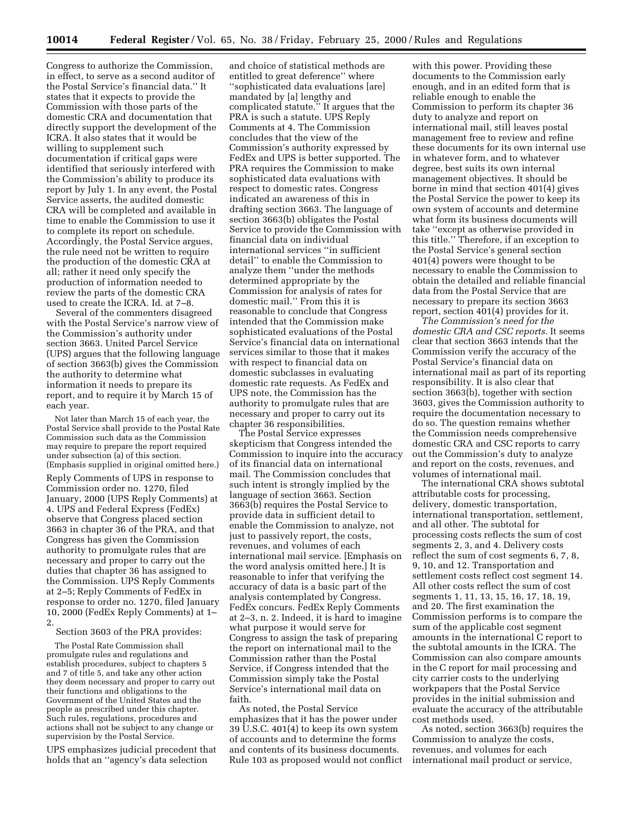Congress to authorize the Commission, in effect, to serve as a second auditor of the Postal Service's financial data.'' It states that it expects to provide the Commission with those parts of the domestic CRA and documentation that directly support the development of the ICRA. It also states that it would be willing to supplement such documentation if critical gaps were identified that seriously interfered with the Commission's ability to produce its report by July 1. In any event, the Postal Service asserts, the audited domestic CRA will be completed and available in time to enable the Commission to use it to complete its report on schedule. Accordingly, the Postal Service argues, the rule need not be written to require the production of the domestic CRA at all; rather it need only specify the production of information needed to review the parts of the domestic CRA used to create the ICRA. Id. at 7–8.

Several of the commenters disagreed with the Postal Service's narrow view of the Commission's authority under section 3663. United Parcel Service (UPS) argues that the following language of section 3663(b) gives the Commission the authority to determine what information it needs to prepare its report, and to require it by March 15 of each year.

Not later than March 15 of each year, the Postal Service shall provide to the Postal Rate Commission such data as the Commission may require to prepare the report required under subsection (a) of this section. (Emphasis supplied in original omitted here.)

Reply Comments of UPS in response to Commission order no. 1270, filed January, 2000 (UPS Reply Comments) at 4. UPS and Federal Express (FedEx) observe that Congress placed section 3663 in chapter 36 of the PRA, and that Congress has given the Commission authority to promulgate rules that are necessary and proper to carry out the duties that chapter 36 has assigned to the Commission. UPS Reply Comments at 2–5; Reply Comments of FedEx in response to order no. 1270, filed January 10, 2000 (FedEx Reply Comments) at 1– 2.

Section 3603 of the PRA provides:

The Postal Rate Commission shall promulgate rules and regulations and establish procedures, subject to chapters 5 and 7 of title 5, and take any other action they deem necessary and proper to carry out their functions and obligations to the Government of the United States and the people as prescribed under this chapter. Such rules, regulations, procedures and actions shall not be subject to any change or supervision by the Postal Service.

UPS emphasizes judicial precedent that holds that an ''agency's data selection

and choice of statistical methods are entitled to great deference'' where ''sophisticated data evaluations [are] mandated by [a] lengthy and complicated statute.'' It argues that the PRA is such a statute. UPS Reply Comments at 4. The Commission concludes that the view of the Commission's authority expressed by FedEx and UPS is better supported. The PRA requires the Commission to make sophisticated data evaluations with respect to domestic rates. Congress indicated an awareness of this in drafting section 3663. The language of section 3663(b) obligates the Postal Service to provide the Commission with financial data on individual international services ''in sufficient detail'' to enable the Commission to analyze them ''under the methods determined appropriate by the Commission for analysis of rates for domestic mail.'' From this it is reasonable to conclude that Congress intended that the Commission make sophisticated evaluations of the Postal Service's financial data on international services similar to those that it makes with respect to financial data on domestic subclasses in evaluating domestic rate requests. As FedEx and UPS note, the Commission has the authority to promulgate rules that are necessary and proper to carry out its chapter 36 responsibilities.

The Postal Service expresses skepticism that Congress intended the Commission to inquire into the accuracy of its financial data on international mail. The Commission concludes that such intent is strongly implied by the language of section 3663. Section 3663(b) requires the Postal Service to provide data in sufficient detail to enable the Commission to analyze, not just to passively report, the costs, revenues, and volumes of each international mail service. [Emphasis on the word analysis omitted here.] It is reasonable to infer that verifying the accuracy of data is a basic part of the analysis contemplated by Congress. FedEx concurs. FedEx Reply Comments at 2–3, n. 2. Indeed, it is hard to imagine what purpose it would serve for Congress to assign the task of preparing the report on international mail to the Commission rather than the Postal Service, if Congress intended that the Commission simply take the Postal Service's international mail data on faith.

As noted, the Postal Service emphasizes that it has the power under 39 U.S.C. 401(4) to keep its own system of accounts and to determine the forms and contents of its business documents. Rule 103 as proposed would not conflict

with this power. Providing these documents to the Commission early enough, and in an edited form that is reliable enough to enable the Commission to perform its chapter 36 duty to analyze and report on international mail, still leaves postal management free to review and refine these documents for its own internal use in whatever form, and to whatever degree, best suits its own internal management objectives. It should be borne in mind that section 401(4) gives the Postal Service the power to keep its own system of accounts and determine what form its business documents will take ''except as otherwise provided in this title.'' Therefore, if an exception to the Postal Service's general section 401(4) powers were thought to be necessary to enable the Commission to obtain the detailed and reliable financial data from the Postal Service that are necessary to prepare its section 3663 report, section 401(4) provides for it.

*The Commission's need for the domestic CRA and CSC reports.* It seems clear that section 3663 intends that the Commission verify the accuracy of the Postal Service's financial data on international mail as part of its reporting responsibility. It is also clear that section 3663(b), together with section 3603, gives the Commission authority to require the documentation necessary to do so. The question remains whether the Commission needs comprehensive domestic CRA and CSC reports to carry out the Commission's duty to analyze and report on the costs, revenues, and volumes of international mail.

The international CRA shows subtotal attributable costs for processing, delivery, domestic transportation, international transportation, settlement, and all other. The subtotal for processing costs reflects the sum of cost segments 2, 3, and 4. Delivery costs reflect the sum of cost segments 6, 7, 8, 9, 10, and 12. Transportation and settlement costs reflect cost segment 14. All other costs reflect the sum of cost segments 1, 11, 13, 15, 16, 17, 18, 19, and 20. The first examination the Commission performs is to compare the sum of the applicable cost segment amounts in the international C report to the subtotal amounts in the ICRA. The Commission can also compare amounts in the C report for mail processing and city carrier costs to the underlying workpapers that the Postal Service provides in the initial submission and evaluate the accuracy of the attributable cost methods used.

As noted, section 3663(b) requires the Commission to analyze the costs, revenues, and volumes for each international mail product or service,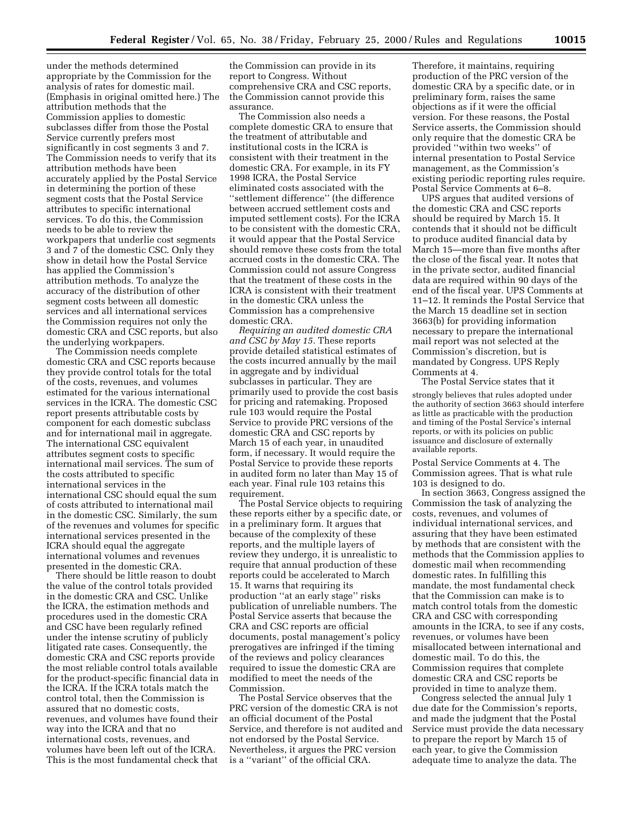under the methods determined appropriate by the Commission for the analysis of rates for domestic mail. (Emphasis in original omitted here.) The attribution methods that the Commission applies to domestic subclasses differ from those the Postal Service currently prefers most significantly in cost segments 3 and 7. The Commission needs to verify that its attribution methods have been accurately applied by the Postal Service in determining the portion of these segment costs that the Postal Service attributes to specific international services. To do this, the Commission needs to be able to review the workpapers that underlie cost segments 3 and 7 of the domestic CSC. Only they show in detail how the Postal Service has applied the Commission's attribution methods. To analyze the accuracy of the distribution of other segment costs between all domestic services and all international services the Commission requires not only the domestic CRA and CSC reports, but also the underlying workpapers.

The Commission needs complete domestic CRA and CSC reports because they provide control totals for the total of the costs, revenues, and volumes estimated for the various international services in the ICRA. The domestic CSC report presents attributable costs by component for each domestic subclass and for international mail in aggregate. The international CSC equivalent attributes segment costs to specific international mail services. The sum of the costs attributed to specific international services in the international CSC should equal the sum of costs attributed to international mail in the domestic CSC. Similarly, the sum of the revenues and volumes for specific international services presented in the ICRA should equal the aggregate international volumes and revenues presented in the domestic CRA.

There should be little reason to doubt the value of the control totals provided in the domestic CRA and CSC. Unlike the ICRA, the estimation methods and procedures used in the domestic CRA and CSC have been regularly refined under the intense scrutiny of publicly litigated rate cases. Consequently, the domestic CRA and CSC reports provide the most reliable control totals available for the product-specific financial data in the ICRA. If the ICRA totals match the control total, then the Commission is assured that no domestic costs, revenues, and volumes have found their way into the ICRA and that no international costs, revenues, and volumes have been left out of the ICRA. This is the most fundamental check that

the Commission can provide in its report to Congress. Without comprehensive CRA and CSC reports, the Commission cannot provide this assurance.

The Commission also needs a complete domestic CRA to ensure that the treatment of attributable and institutional costs in the ICRA is consistent with their treatment in the domestic CRA. For example, in its FY 1998 ICRA, the Postal Service eliminated costs associated with the ''settlement difference'' (the difference between accrued settlement costs and imputed settlement costs). For the ICRA to be consistent with the domestic CRA, it would appear that the Postal Service should remove these costs from the total accrued costs in the domestic CRA. The Commission could not assure Congress that the treatment of these costs in the ICRA is consistent with their treatment in the domestic CRA unless the Commission has a comprehensive domestic CRA.

*Requiring an audited domestic CRA and CSC by May 15.* These reports provide detailed statistical estimates of the costs incurred annually by the mail in aggregate and by individual subclasses in particular. They are primarily used to provide the cost basis for pricing and ratemaking. Proposed rule 103 would require the Postal Service to provide PRC versions of the domestic CRA and CSC reports by March 15 of each year, in unaudited form, if necessary. It would require the Postal Service to provide these reports in audited form no later than May 15 of each year. Final rule 103 retains this requirement.

The Postal Service objects to requiring these reports either by a specific date, or in a preliminary form. It argues that because of the complexity of these reports, and the multiple layers of review they undergo, it is unrealistic to require that annual production of these reports could be accelerated to March 15. It warns that requiring its production ''at an early stage'' risks publication of unreliable numbers. The Postal Service asserts that because the CRA and CSC reports are official documents, postal management's policy prerogatives are infringed if the timing of the reviews and policy clearances required to issue the domestic CRA are modified to meet the needs of the Commission.

The Postal Service observes that the PRC version of the domestic CRA is not an official document of the Postal Service, and therefore is not audited and not endorsed by the Postal Service. Nevertheless, it argues the PRC version is a ''variant'' of the official CRA.

Therefore, it maintains, requiring production of the PRC version of the domestic CRA by a specific date, or in preliminary form, raises the same objections as if it were the official version. For these reasons, the Postal Service asserts, the Commission should only require that the domestic CRA be provided ''within two weeks'' of internal presentation to Postal Service management, as the Commission's existing periodic reporting rules require. Postal Service Comments at 6–8.

UPS argues that audited versions of the domestic CRA and CSC reports should be required by March 15. It contends that it should not be difficult to produce audited financial data by March 15—more than five months after the close of the fiscal year. It notes that in the private sector, audited financial data are required within 90 days of the end of the fiscal year. UPS Comments at 11–12. It reminds the Postal Service that the March 15 deadline set in section 3663(b) for providing information necessary to prepare the international mail report was not selected at the Commission's discretion, but is mandated by Congress. UPS Reply Comments at 4.

The Postal Service states that it

strongly believes that rules adopted under the authority of section 3663 should interfere as little as practicable with the production and timing of the Postal Service's internal reports, or with its policies on public issuance and disclosure of externally available reports.

Postal Service Comments at 4. The Commission agrees. That is what rule 103 is designed to do.

In section 3663, Congress assigned the Commission the task of analyzing the costs, revenues, and volumes of individual international services, and assuring that they have been estimated by methods that are consistent with the methods that the Commission applies to domestic mail when recommending domestic rates. In fulfilling this mandate, the most fundamental check that the Commission can make is to match control totals from the domestic CRA and CSC with corresponding amounts in the ICRA, to see if any costs, revenues, or volumes have been misallocated between international and domestic mail. To do this, the Commission requires that complete domestic CRA and CSC reports be provided in time to analyze them.

Congress selected the annual July 1 due date for the Commission's reports, and made the judgment that the Postal Service must provide the data necessary to prepare the report by March 15 of each year, to give the Commission adequate time to analyze the data. The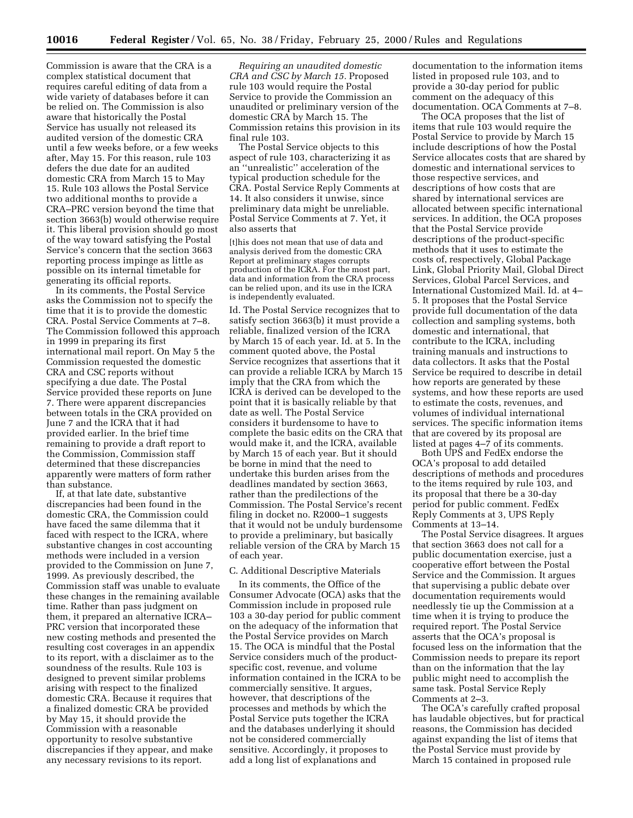Commission is aware that the CRA is a complex statistical document that requires careful editing of data from a wide variety of databases before it can be relied on. The Commission is also aware that historically the Postal Service has usually not released its audited version of the domestic CRA until a few weeks before, or a few weeks after, May 15. For this reason, rule 103 defers the due date for an audited domestic CRA from March 15 to May 15. Rule 103 allows the Postal Service two additional months to provide a CRA–PRC version beyond the time that section 3663(b) would otherwise require it. This liberal provision should go most of the way toward satisfying the Postal Service's concern that the section 3663 reporting process impinge as little as possible on its internal timetable for generating its official reports.

In its comments, the Postal Service asks the Commission not to specify the time that it is to provide the domestic CRA. Postal Service Comments at 7–8. The Commission followed this approach in 1999 in preparing its first international mail report. On May 5 the Commission requested the domestic CRA and CSC reports without specifying a due date. The Postal Service provided these reports on June 7. There were apparent discrepancies between totals in the CRA provided on June 7 and the ICRA that it had provided earlier. In the brief time remaining to provide a draft report to the Commission, Commission staff determined that these discrepancies apparently were matters of form rather than substance.

If, at that late date, substantive discrepancies had been found in the domestic CRA, the Commission could have faced the same dilemma that it faced with respect to the ICRA, where substantive changes in cost accounting methods were included in a version provided to the Commission on June 7, 1999. As previously described, the Commission staff was unable to evaluate these changes in the remaining available time. Rather than pass judgment on them, it prepared an alternative ICRA– PRC version that incorporated these new costing methods and presented the resulting cost coverages in an appendix to its report, with a disclaimer as to the soundness of the results. Rule 103 is designed to prevent similar problems arising with respect to the finalized domestic CRA. Because it requires that a finalized domestic CRA be provided by May 15, it should provide the Commission with a reasonable opportunity to resolve substantive discrepancies if they appear, and make any necessary revisions to its report.

*Requiring an unaudited domestic CRA and CSC by March 15.* Proposed rule 103 would require the Postal Service to provide the Commission an unaudited or preliminary version of the domestic CRA by March 15. The Commission retains this provision in its final rule 103.

The Postal Service objects to this aspect of rule 103, characterizing it as an ''unrealistic'' acceleration of the typical production schedule for the CRA. Postal Service Reply Comments at 14. It also considers it unwise, since preliminary data might be unreliable. Postal Service Comments at 7. Yet, it also asserts that

[t]his does not mean that use of data and analysis derived from the domestic CRA Report at preliminary stages corrupts production of the ICRA. For the most part, data and information from the CRA process can be relied upon, and its use in the ICRA is independently evaluated.

Id. The Postal Service recognizes that to satisfy section 3663(b) it must provide a reliable, finalized version of the ICRA by March 15 of each year. Id. at 5. In the comment quoted above, the Postal Service recognizes that assertions that it can provide a reliable ICRA by March 15 imply that the CRA from which the ICRA is derived can be developed to the point that it is basically reliable by that date as well. The Postal Service considers it burdensome to have to complete the basic edits on the CRA that would make it, and the ICRA, available by March 15 of each year. But it should be borne in mind that the need to undertake this burden arises from the deadlines mandated by section 3663, rather than the predilections of the Commission. The Postal Service's recent filing in docket no. R2000–1 suggests that it would not be unduly burdensome to provide a preliminary, but basically reliable version of the CRA by March 15 of each year.

#### C. Additional Descriptive Materials

In its comments, the Office of the Consumer Advocate (OCA) asks that the Commission include in proposed rule 103 a 30-day period for public comment on the adequacy of the information that the Postal Service provides on March 15. The OCA is mindful that the Postal Service considers much of the productspecific cost, revenue, and volume information contained in the ICRA to be commercially sensitive. It argues, however, that descriptions of the processes and methods by which the Postal Service puts together the ICRA and the databases underlying it should not be considered commercially sensitive. Accordingly, it proposes to add a long list of explanations and

documentation to the information items listed in proposed rule 103, and to provide a 30-day period for public comment on the adequacy of this documentation. OCA Comments at 7–8.

The OCA proposes that the list of items that rule 103 would require the Postal Service to provide by March 15 include descriptions of how the Postal Service allocates costs that are shared by domestic and international services to those respective services, and descriptions of how costs that are shared by international services are allocated between specific international services. In addition, the OCA proposes that the Postal Service provide descriptions of the product-specific methods that it uses to estimate the costs of, respectively, Global Package Link, Global Priority Mail, Global Direct Services, Global Parcel Services, and International Customized Mail. Id. at 4– 5. It proposes that the Postal Service provide full documentation of the data collection and sampling systems, both domestic and international, that contribute to the ICRA, including training manuals and instructions to data collectors. It asks that the Postal Service be required to describe in detail how reports are generated by these systems, and how these reports are used to estimate the costs, revenues, and volumes of individual international services. The specific information items that are covered by its proposal are listed at pages 4–7 of its comments.

Both UPS and FedEx endorse the OCA's proposal to add detailed descriptions of methods and procedures to the items required by rule 103, and its proposal that there be a 30-day period for public comment. FedEx Reply Comments at 3, UPS Reply Comments at 13–14.

The Postal Service disagrees. It argues that section 3663 does not call for a public documentation exercise, just a cooperative effort between the Postal Service and the Commission. It argues that supervising a public debate over documentation requirements would needlessly tie up the Commission at a time when it is trying to produce the required report. The Postal Service asserts that the OCA's proposal is focused less on the information that the Commission needs to prepare its report than on the information that the lay public might need to accomplish the same task. Postal Service Reply Comments at 2–3.

The OCA's carefully crafted proposal has laudable objectives, but for practical reasons, the Commission has decided against expanding the list of items that the Postal Service must provide by March 15 contained in proposed rule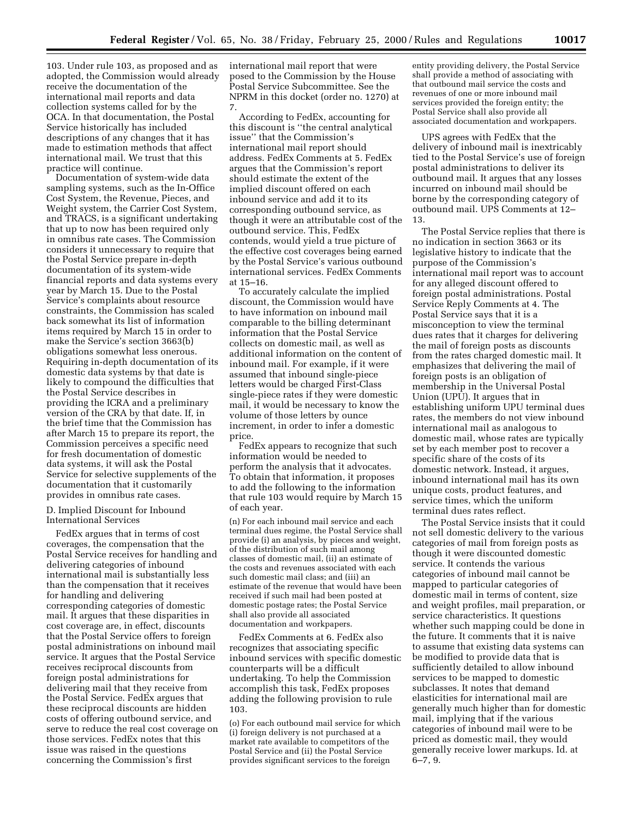103. Under rule 103, as proposed and as adopted, the Commission would already receive the documentation of the international mail reports and data collection systems called for by the OCA. In that documentation, the Postal Service historically has included descriptions of any changes that it has made to estimation methods that affect international mail. We trust that this practice will continue.

Documentation of system-wide data sampling systems, such as the In-Office Cost System, the Revenue, Pieces, and Weight system, the Carrier Cost System, and TRACS, is a significant undertaking that up to now has been required only in omnibus rate cases. The Commission considers it unnecessary to require that the Postal Service prepare in-depth documentation of its system-wide financial reports and data systems every year by March 15. Due to the Postal Service's complaints about resource constraints, the Commission has scaled back somewhat its list of information items required by March 15 in order to make the Service's section 3663(b) obligations somewhat less onerous. Requiring in-depth documentation of its domestic data systems by that date is likely to compound the difficulties that the Postal Service describes in providing the ICRA and a preliminary version of the CRA by that date. If, in the brief time that the Commission has after March 15 to prepare its report, the Commission perceives a specific need for fresh documentation of domestic data systems, it will ask the Postal Service for selective supplements of the documentation that it customarily provides in omnibus rate cases.

#### D. Implied Discount for Inbound International Services

FedEx argues that in terms of cost coverages, the compensation that the Postal Service receives for handling and delivering categories of inbound international mail is substantially less than the compensation that it receives for handling and delivering corresponding categories of domestic mail. It argues that these disparities in cost coverage are, in effect, discounts that the Postal Service offers to foreign postal administrations on inbound mail service. It argues that the Postal Service receives reciprocal discounts from foreign postal administrations for delivering mail that they receive from the Postal Service. FedEx argues that these reciprocal discounts are hidden costs of offering outbound service, and serve to reduce the real cost coverage on those services. FedEx notes that this issue was raised in the questions concerning the Commission's first

international mail report that were posed to the Commission by the House Postal Service Subcommittee. See the NPRM in this docket (order no. 1270) at 7.

According to FedEx, accounting for this discount is ''the central analytical issue'' that the Commission's international mail report should address. FedEx Comments at 5. FedEx argues that the Commission's report should estimate the extent of the implied discount offered on each inbound service and add it to its corresponding outbound service, as though it were an attributable cost of the outbound service. This, FedEx contends, would yield a true picture of the effective cost coverages being earned by the Postal Service's various outbound international services. FedEx Comments at 15–16.

To accurately calculate the implied discount, the Commission would have to have information on inbound mail comparable to the billing determinant information that the Postal Service collects on domestic mail, as well as additional information on the content of inbound mail. For example, if it were assumed that inbound single-piece letters would be charged First-Class single-piece rates if they were domestic mail, it would be necessary to know the volume of those letters by ounce increment, in order to infer a domestic price.

FedEx appears to recognize that such information would be needed to perform the analysis that it advocates. To obtain that information, it proposes to add the following to the information that rule 103 would require by March 15 of each year.

(n) For each inbound mail service and each terminal dues regime, the Postal Service shall provide (i) an analysis, by pieces and weight, of the distribution of such mail among classes of domestic mail, (ii) an estimate of the costs and revenues associated with each such domestic mail class; and (iii) an estimate of the revenue that would have been received if such mail had been posted at domestic postage rates; the Postal Service shall also provide all associated documentation and workpapers.

FedEx Comments at 6. FedEx also recognizes that associating specific inbound services with specific domestic counterparts will be a difficult undertaking. To help the Commission accomplish this task, FedEx proposes adding the following provision to rule 103.

(o) For each outbound mail service for which (i) foreign delivery is not purchased at a market rate available to competitors of the Postal Service and (ii) the Postal Service provides significant services to the foreign

entity providing delivery, the Postal Service shall provide a method of associating with that outbound mail service the costs and revenues of one or more inbound mail services provided the foreign entity; the Postal Service shall also provide all associated documentation and workpapers.

UPS agrees with FedEx that the delivery of inbound mail is inextricably tied to the Postal Service's use of foreign postal administrations to deliver its outbound mail. It argues that any losses incurred on inbound mail should be borne by the corresponding category of outbound mail. UPS Comments at 12– 13.

The Postal Service replies that there is no indication in section 3663 or its legislative history to indicate that the purpose of the Commission's international mail report was to account for any alleged discount offered to foreign postal administrations. Postal Service Reply Comments at 4. The Postal Service says that it is a misconception to view the terminal dues rates that it charges for delivering the mail of foreign posts as discounts from the rates charged domestic mail. It emphasizes that delivering the mail of foreign posts is an obligation of membership in the Universal Postal Union (UPU). It argues that in establishing uniform UPU terminal dues rates, the members do not view inbound international mail as analogous to domestic mail, whose rates are typically set by each member post to recover a specific share of the costs of its domestic network. Instead, it argues, inbound international mail has its own unique costs, product features, and service times, which the uniform terminal dues rates reflect.

The Postal Service insists that it could not sell domestic delivery to the various categories of mail from foreign posts as though it were discounted domestic service. It contends the various categories of inbound mail cannot be mapped to particular categories of domestic mail in terms of content, size and weight profiles, mail preparation, or service characteristics. It questions whether such mapping could be done in the future. It comments that it is naive to assume that existing data systems can be modified to provide data that is sufficiently detailed to allow inbound services to be mapped to domestic subclasses. It notes that demand elasticities for international mail are generally much higher than for domestic mail, implying that if the various categories of inbound mail were to be priced as domestic mail, they would generally receive lower markups. Id. at 6–7, 9.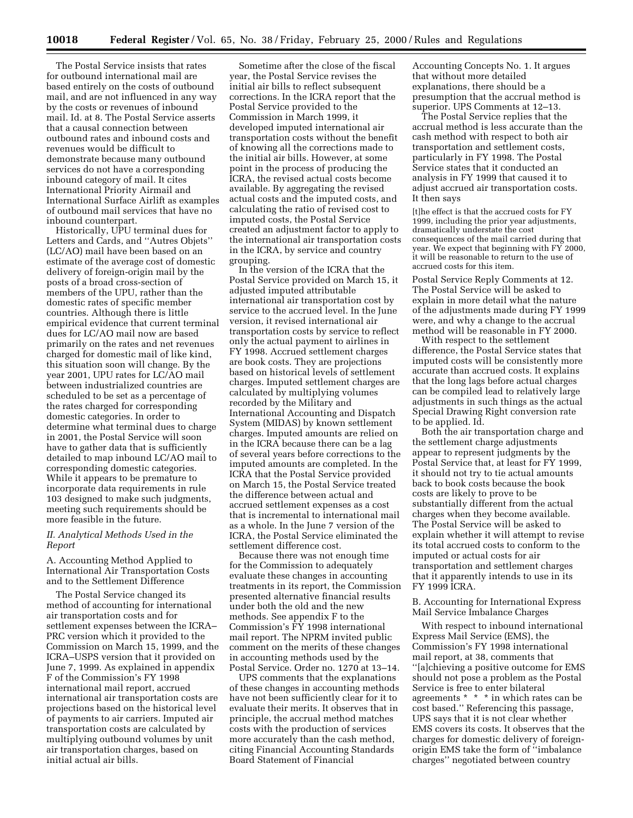The Postal Service insists that rates for outbound international mail are based entirely on the costs of outbound mail, and are not influenced in any way by the costs or revenues of inbound mail. Id. at 8. The Postal Service asserts that a causal connection between outbound rates and inbound costs and revenues would be difficult to demonstrate because many outbound services do not have a corresponding inbound category of mail. It cites International Priority Airmail and International Surface Airlift as examples of outbound mail services that have no inbound counterpart.

Historically, UPU terminal dues for Letters and Cards, and ''Autres Objets'' (LC/AO) mail have been based on an estimate of the average cost of domestic delivery of foreign-origin mail by the posts of a broad cross-section of members of the UPU, rather than the domestic rates of specific member countries. Although there is little empirical evidence that current terminal dues for LC/AO mail now are based primarily on the rates and net revenues charged for domestic mail of like kind, this situation soon will change. By the year 2001, UPU rates for LC/AO mail between industrialized countries are scheduled to be set as a percentage of the rates charged for corresponding domestic categories. In order to determine what terminal dues to charge in 2001, the Postal Service will soon have to gather data that is sufficiently detailed to map inbound LC/AO mail to corresponding domestic categories. While it appears to be premature to incorporate data requirements in rule 103 designed to make such judgments, meeting such requirements should be more feasible in the future.

## *II. Analytical Methods Used in the Report*

A. Accounting Method Applied to International Air Transportation Costs and to the Settlement Difference

The Postal Service changed its method of accounting for international air transportation costs and for settlement expenses between the ICRA– PRC version which it provided to the Commission on March 15, 1999, and the ICRA–USPS version that it provided on June 7, 1999. As explained in appendix F of the Commission's FY 1998 international mail report, accrued international air transportation costs are projections based on the historical level of payments to air carriers. Imputed air transportation costs are calculated by multiplying outbound volumes by unit air transportation charges, based on initial actual air bills.

Sometime after the close of the fiscal year, the Postal Service revises the initial air bills to reflect subsequent corrections. In the ICRA report that the Postal Service provided to the Commission in March 1999, it developed imputed international air transportation costs without the benefit of knowing all the corrections made to the initial air bills. However, at some point in the process of producing the ICRA, the revised actual costs become available. By aggregating the revised actual costs and the imputed costs, and calculating the ratio of revised cost to imputed costs, the Postal Service created an adjustment factor to apply to the international air transportation costs in the ICRA, by service and country grouping.

In the version of the ICRA that the Postal Service provided on March 15, it adjusted imputed attributable international air transportation cost by service to the accrued level. In the June version, it revised international air transportation costs by service to reflect only the actual payment to airlines in FY 1998. Accrued settlement charges are book costs. They are projections based on historical levels of settlement charges. Imputed settlement charges are calculated by multiplying volumes recorded by the Military and International Accounting and Dispatch System (MIDAS) by known settlement charges. Imputed amounts are relied on in the ICRA because there can be a lag of several years before corrections to the imputed amounts are completed. In the ICRA that the Postal Service provided on March 15, the Postal Service treated the difference between actual and accrued settlement expenses as a cost that is incremental to international mail as a whole. In the June 7 version of the ICRA, the Postal Service eliminated the settlement difference cost.

Because there was not enough time for the Commission to adequately evaluate these changes in accounting treatments in its report, the Commission presented alternative financial results under both the old and the new methods. See appendix F to the Commission's FY 1998 international mail report. The NPRM invited public comment on the merits of these changes in accounting methods used by the Postal Service. Order no. 1270 at 13–14.

UPS comments that the explanations of these changes in accounting methods have not been sufficiently clear for it to evaluate their merits. It observes that in principle, the accrual method matches costs with the production of services more accurately than the cash method, citing Financial Accounting Standards Board Statement of Financial

Accounting Concepts No. 1. It argues that without more detailed explanations, there should be a presumption that the accrual method is superior. UPS Comments at 12–13.

The Postal Service replies that the accrual method is less accurate than the cash method with respect to both air transportation and settlement costs, particularly in FY 1998. The Postal Service states that it conducted an analysis in FY 1999 that caused it to adjust accrued air transportation costs. It then says

[t]he effect is that the accrued costs for FY 1999, including the prior year adjustments, dramatically understate the cost consequences of the mail carried during that year. We expect that beginning with  $FY$  2000, it will be reasonable to return to the use of accrued costs for this item.

Postal Service Reply Comments at 12. The Postal Service will be asked to explain in more detail what the nature of the adjustments made during FY 1999 were, and why a change to the accrual method will be reasonable in FY 2000.

With respect to the settlement difference, the Postal Service states that imputed costs will be consistently more accurate than accrued costs. It explains that the long lags before actual charges can be compiled lead to relatively large adjustments in such things as the actual Special Drawing Right conversion rate to be applied. Id.

Both the air transportation charge and the settlement charge adjustments appear to represent judgments by the Postal Service that, at least for FY 1999, it should not try to tie actual amounts back to book costs because the book costs are likely to prove to be substantially different from the actual charges when they become available. The Postal Service will be asked to explain whether it will attempt to revise its total accrued costs to conform to the imputed or actual costs for air transportation and settlement charges that it apparently intends to use in its FY 1999 ICRA.

B. Accounting for International Express Mail Service Imbalance Charges

With respect to inbound international Express Mail Service (EMS), the Commission's FY 1998 international mail report, at 38, comments that ''[a]chieving a positive outcome for EMS should not pose a problem as the Postal Service is free to enter bilateral agreements \* \* \* in which rates can be cost based.'' Referencing this passage, UPS says that it is not clear whether EMS covers its costs. It observes that the charges for domestic delivery of foreignorigin EMS take the form of ''imbalance charges'' negotiated between country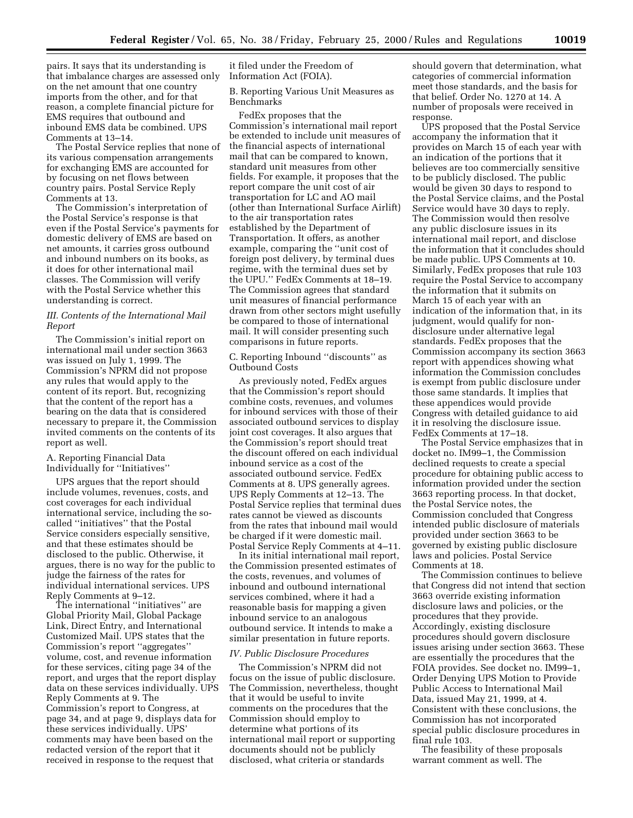pairs. It says that its understanding is that imbalance charges are assessed only on the net amount that one country imports from the other, and for that reason, a complete financial picture for EMS requires that outbound and inbound EMS data be combined. UPS Comments at 13–14.

The Postal Service replies that none of its various compensation arrangements for exchanging EMS are accounted for by focusing on net flows between country pairs. Postal Service Reply Comments at 13.

The Commission's interpretation of the Postal Service's response is that even if the Postal Service's payments for domestic delivery of EMS are based on net amounts, it carries gross outbound and inbound numbers on its books, as it does for other international mail classes. The Commission will verify with the Postal Service whether this understanding is correct.

### *III. Contents of the International Mail Report*

The Commission's initial report on international mail under section 3663 was issued on July 1, 1999. The Commission's NPRM did not propose any rules that would apply to the content of its report. But, recognizing that the content of the report has a bearing on the data that is considered necessary to prepare it, the Commission invited comments on the contents of its report as well.

## A. Reporting Financial Data Individually for ''Initiatives''

UPS argues that the report should include volumes, revenues, costs, and cost coverages for each individual international service, including the socalled ''initiatives'' that the Postal Service considers especially sensitive, and that these estimates should be disclosed to the public. Otherwise, it argues, there is no way for the public to judge the fairness of the rates for individual international services. UPS Reply Comments at 9–12.

The international ''initiatives'' are Global Priority Mail, Global Package Link, Direct Entry, and International Customized Mail. UPS states that the Commission's report ''aggregates'' volume, cost, and revenue information for these services, citing page 34 of the report, and urges that the report display data on these services individually. UPS Reply Comments at 9. The Commission's report to Congress, at page 34, and at page 9, displays data for these services individually. UPS' comments may have been based on the redacted version of the report that it received in response to the request that

it filed under the Freedom of Information Act (FOIA).

B. Reporting Various Unit Measures as Benchmarks

FedEx proposes that the Commission's international mail report be extended to include unit measures of the financial aspects of international mail that can be compared to known, standard unit measures from other fields. For example, it proposes that the report compare the unit cost of air transportation for LC and AO mail (other than International Surface Airlift) to the air transportation rates established by the Department of Transportation. It offers, as another example, comparing the ''unit cost of foreign post delivery, by terminal dues regime, with the terminal dues set by the UPU.'' FedEx Comments at 18–19. The Commission agrees that standard unit measures of financial performance drawn from other sectors might usefully be compared to those of international mail. It will consider presenting such comparisons in future reports.

# C. Reporting Inbound ''discounts'' as Outbound Costs

As previously noted, FedEx argues that the Commission's report should combine costs, revenues, and volumes for inbound services with those of their associated outbound services to display joint cost coverages. It also argues that the Commission's report should treat the discount offered on each individual inbound service as a cost of the associated outbound service. FedEx Comments at 8. UPS generally agrees. UPS Reply Comments at 12–13. The Postal Service replies that terminal dues rates cannot be viewed as discounts from the rates that inbound mail would be charged if it were domestic mail. Postal Service Reply Comments at 4–11.

In its initial international mail report, the Commission presented estimates of the costs, revenues, and volumes of inbound and outbound international services combined, where it had a reasonable basis for mapping a given inbound service to an analogous outbound service. It intends to make a similar presentation in future reports.

## *IV. Public Disclosure Procedures*

The Commission's NPRM did not focus on the issue of public disclosure. The Commission, nevertheless, thought that it would be useful to invite comments on the procedures that the Commission should employ to determine what portions of its international mail report or supporting documents should not be publicly disclosed, what criteria or standards

should govern that determination, what categories of commercial information meet those standards, and the basis for that belief. Order No. 1270 at 14. A number of proposals were received in response.

UPS proposed that the Postal Service accompany the information that it provides on March 15 of each year with an indication of the portions that it believes are too commercially sensitive to be publicly disclosed. The public would be given 30 days to respond to the Postal Service claims, and the Postal Service would have 30 days to reply. The Commission would then resolve any public disclosure issues in its international mail report, and disclose the information that it concludes should be made public. UPS Comments at 10. Similarly, FedEx proposes that rule 103 require the Postal Service to accompany the information that it submits on March 15 of each year with an indication of the information that, in its judgment, would qualify for nondisclosure under alternative legal standards. FedEx proposes that the Commission accompany its section 3663 report with appendices showing what information the Commission concludes is exempt from public disclosure under those same standards. It implies that these appendices would provide Congress with detailed guidance to aid it in resolving the disclosure issue. FedEx Comments at 17–18.

The Postal Service emphasizes that in docket no. IM99–1, the Commission declined requests to create a special procedure for obtaining public access to information provided under the section 3663 reporting process. In that docket, the Postal Service notes, the Commission concluded that Congress intended public disclosure of materials provided under section 3663 to be governed by existing public disclosure laws and policies. Postal Service Comments at 18.

The Commission continues to believe that Congress did not intend that section 3663 override existing information disclosure laws and policies, or the procedures that they provide. Accordingly, existing disclosure procedures should govern disclosure issues arising under section 3663. These are essentially the procedures that the FOIA provides. See docket no. IM99–1, Order Denying UPS Motion to Provide Public Access to International Mail Data, issued May 21, 1999, at 4. Consistent with these conclusions, the Commission has not incorporated special public disclosure procedures in final rule 103.

The feasibility of these proposals warrant comment as well. The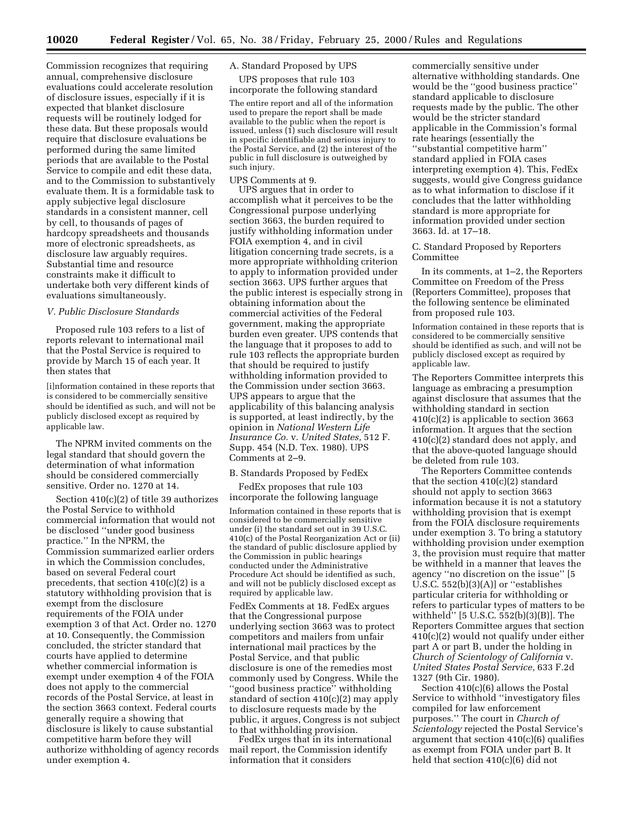Commission recognizes that requiring annual, comprehensive disclosure evaluations could accelerate resolution of disclosure issues, especially if it is expected that blanket disclosure requests will be routinely lodged for these data. But these proposals would require that disclosure evaluations be performed during the same limited periods that are available to the Postal Service to compile and edit these data, and to the Commission to substantively evaluate them. It is a formidable task to apply subjective legal disclosure standards in a consistent manner, cell by cell, to thousands of pages of hardcopy spreadsheets and thousands more of electronic spreadsheets, as disclosure law arguably requires. Substantial time and resource constraints make it difficult to undertake both very different kinds of evaluations simultaneously.

## *V. Public Disclosure Standards*

Proposed rule 103 refers to a list of reports relevant to international mail that the Postal Service is required to provide by March 15 of each year. It then states that

[i]nformation contained in these reports that is considered to be commercially sensitive should be identified as such, and will not be publicly disclosed except as required by applicable law.

The NPRM invited comments on the legal standard that should govern the determination of what information should be considered commercially sensitive. Order no. 1270 at 14.

Section 410(c)(2) of title 39 authorizes the Postal Service to withhold commercial information that would not be disclosed ''under good business practice.'' In the NPRM, the Commission summarized earlier orders in which the Commission concludes, based on several Federal court precedents, that section 410(c)(2) is a statutory withholding provision that is exempt from the disclosure requirements of the FOIA under exemption 3 of that Act. Order no. 1270 at 10. Consequently, the Commission concluded, the stricter standard that courts have applied to determine whether commercial information is exempt under exemption 4 of the FOIA does not apply to the commercial records of the Postal Service, at least in the section 3663 context. Federal courts generally require a showing that disclosure is likely to cause substantial competitive harm before they will authorize withholding of agency records under exemption 4.

# A. Standard Proposed by UPS

UPS proposes that rule 103 incorporate the following standard

The entire report and all of the information used to prepare the report shall be made available to the public when the report is issued, unless  $(1)$  such disclosure will result in specific identifiable and serious injury to the Postal Service, and (2) the interest of the public in full disclosure is outweighed by such injury.

# UPS Comments at 9.

UPS argues that in order to accomplish what it perceives to be the Congressional purpose underlying section 3663, the burden required to justify withholding information under FOIA exemption 4, and in civil litigation concerning trade secrets, is a more appropriate withholding criterion to apply to information provided under section 3663. UPS further argues that the public interest is especially strong in obtaining information about the commercial activities of the Federal government, making the appropriate burden even greater. UPS contends that the language that it proposes to add to rule 103 reflects the appropriate burden that should be required to justify withholding information provided to the Commission under section 3663. UPS appears to argue that the applicability of this balancing analysis is supported, at least indirectly, by the opinion in *National Western Life Insurance Co.* v. *United States,* 512 F. Supp. 454 (N.D. Tex. 1980). UPS Comments at 2–9.

#### B. Standards Proposed by FedEx

FedEx proposes that rule 103 incorporate the following language

Information contained in these reports that is considered to be commercially sensitive under (i) the standard set out in 39 U.S.C. 410(c) of the Postal Reorganization Act or (ii) the standard of public disclosure applied by the Commission in public hearings conducted under the Administrative Procedure Act should be identified as such, and will not be publicly disclosed except as required by applicable law.

FedEx Comments at 18. FedEx argues that the Congressional purpose underlying section 3663 was to protect competitors and mailers from unfair international mail practices by the Postal Service, and that public disclosure is one of the remedies most commonly used by Congress. While the ''good business practice'' withholding standard of section 410(c)(2) may apply to disclosure requests made by the public, it argues, Congress is not subject to that withholding provision.

FedEx urges that in its international mail report, the Commission identify information that it considers

commercially sensitive under alternative withholding standards. One would be the ''good business practice'' standard applicable to disclosure requests made by the public. The other would be the stricter standard applicable in the Commission's formal rate hearings (essentially the ''substantial competitive harm'' standard applied in FOIA cases interpreting exemption 4). This, FedEx suggests, would give Congress guidance as to what information to disclose if it concludes that the latter withholding standard is more appropriate for information provided under section 3663. Id. at 17–18.

#### C. Standard Proposed by Reporters Committee

In its comments, at 1–2, the Reporters Committee on Freedom of the Press (Reporters Committee), proposes that the following sentence be eliminated from proposed rule 103.

Information contained in these reports that is considered to be commercially sensitive should be identified as such, and will not be publicly disclosed except as required by applicable law.

The Reporters Committee interprets this language as embracing a presumption against disclosure that assumes that the withholding standard in section 410(c)(2) is applicable to section 3663 information. It argues that the section 410(c)(2) standard does not apply, and that the above-quoted language should be deleted from rule 103.

The Reporters Committee contends that the section 410(c)(2) standard should not apply to section 3663 information because it is not a statutory withholding provision that is exempt from the FOIA disclosure requirements under exemption 3. To bring a statutory withholding provision under exemption 3, the provision must require that matter be withheld in a manner that leaves the agency ''no discretion on the issue'' [5 U.S.C. 552(b)(3)(A)] or ''establishes particular criteria for withholding or refers to particular types of matters to be withheld'' [5 U.S.C. 552(b)(3)(B)]. The Reporters Committee argues that section 410(c)(2) would not qualify under either part A or part B, under the holding in *Church of Scientology of California* v. *United States Postal Service,* 633 F.2d 1327 (9th Cir. 1980).

Section 410(c)(6) allows the Postal Service to withhold ''investigatory files compiled for law enforcement purposes.'' The court in *Church of Scientology* rejected the Postal Service's argument that section 410(c)(6) qualifies as exempt from FOIA under part B. It held that section 410(c)(6) did not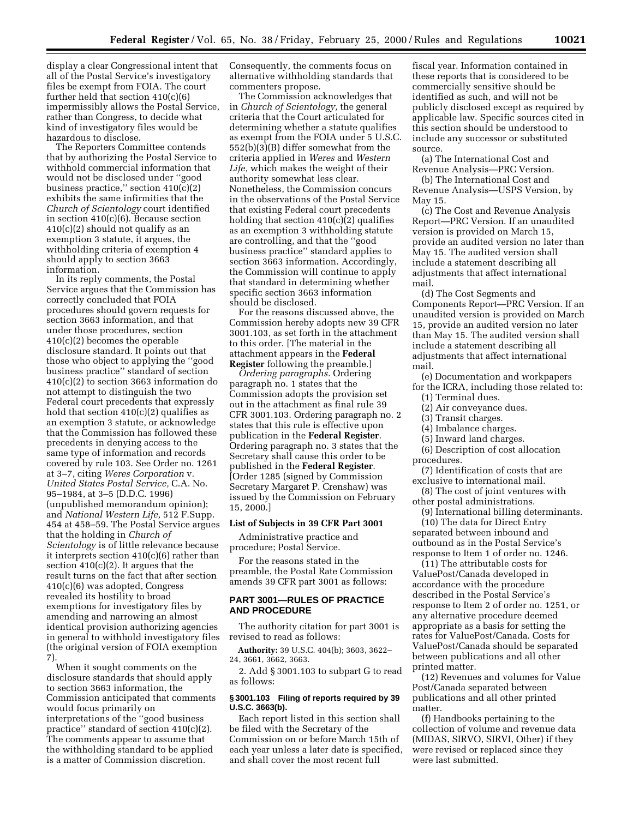display a clear Congressional intent that all of the Postal Service's investigatory files be exempt from FOIA. The court further held that section 410(c)(6) impermissibly allows the Postal Service, rather than Congress, to decide what kind of investigatory files would be hazardous to disclose.

The Reporters Committee contends that by authorizing the Postal Service to withhold commercial information that would not be disclosed under ''good business practice," section  $410(c)(2)$ exhibits the same infirmities that the *Church of Scientology* court identified in section 410(c)(6). Because section  $410(c)(2)$  should not qualify as an exemption 3 statute, it argues, the withholding criteria of exemption 4 should apply to section 3663 information.

In its reply comments, the Postal Service argues that the Commission has correctly concluded that FOIA procedures should govern requests for section 3663 information, and that under those procedures, section 410(c)(2) becomes the operable disclosure standard. It points out that those who object to applying the ''good business practice'' standard of section 410(c)(2) to section 3663 information do not attempt to distinguish the two Federal court precedents that expressly hold that section  $410(c)(2)$  qualifies as an exemption 3 statute, or acknowledge that the Commission has followed these precedents in denying access to the same type of information and records covered by rule 103. See Order no. 1261 at 3–7, citing *Weres Corporation* v. *United States Postal Service,* C.A. No. 95–1984, at 3–5 (D.D.C. 1996) (unpublished memorandum opinion); and *National Western Life,* 512 F.Supp. 454 at 458–59. The Postal Service argues that the holding in *Church of Scientology* is of little relevance because it interprets section 410(c)(6) rather than section 410(c)(2). It argues that the result turns on the fact that after section 410(c)(6) was adopted, Congress revealed its hostility to broad exemptions for investigatory files by amending and narrowing an almost identical provision authorizing agencies in general to withhold investigatory files (the original version of FOIA exemption 7).

When it sought comments on the disclosure standards that should apply to section 3663 information, the Commission anticipated that comments would focus primarily on interpretations of the ''good business practice'' standard of section 410(c)(2). The comments appear to assume that the withholding standard to be applied is a matter of Commission discretion.

Consequently, the comments focus on alternative withholding standards that commenters propose.

The Commission acknowledges that in *Church of Scientology,* the general criteria that the Court articulated for determining whether a statute qualifies as exempt from the FOIA under 5 U.S.C. 552(b)(3)(B) differ somewhat from the criteria applied in *Weres* and *Western Life,* which makes the weight of their authority somewhat less clear. Nonetheless, the Commission concurs in the observations of the Postal Service that existing Federal court precedents holding that section  $410(c)(2)$  qualifies as an exemption 3 withholding statute are controlling, and that the ''good business practice'' standard applies to section 3663 information. Accordingly, the Commission will continue to apply that standard in determining whether specific section 3663 information should be disclosed.

For the reasons discussed above, the Commission hereby adopts new 39 CFR 3001.103, as set forth in the attachment to this order. [The material in the attachment appears in the **Federal Register** following the preamble.]

*Ordering paragraphs.* Ordering paragraph no. 1 states that the Commission adopts the provision set out in the attachment as final rule 39 CFR 3001.103. Ordering paragraph no. 2 states that this rule is effective upon publication in the **Federal Register**. Ordering paragraph no. 3 states that the Secretary shall cause this order to be published in the **Federal Register**. [Order 1285 (signed by Commission Secretary Margaret P. Crenshaw) was issued by the Commission on February 15, 2000.]

#### **List of Subjects in 39 CFR Part 3001**

Administrative practice and procedure; Postal Service.

For the reasons stated in the preamble, the Postal Rate Commission amends 39 CFR part 3001 as follows:

#### **PART 3001—RULES OF PRACTICE AND PROCEDURE**

The authority citation for part 3001 is revised to read as follows:

**Authority:** 39 U.S.C. 404(b); 3603, 3622– 24, 3661, 3662, 3663.

2. Add § 3001.103 to subpart G to read as follows:

## **§ 3001.103 Filing of reports required by 39 U.S.C. 3663(b).**

Each report listed in this section shall be filed with the Secretary of the Commission on or before March 15th of each year unless a later date is specified, and shall cover the most recent full

fiscal year. Information contained in these reports that is considered to be commercially sensitive should be identified as such, and will not be publicly disclosed except as required by applicable law. Specific sources cited in this section should be understood to include any successor or substituted source.

(a) The International Cost and Revenue Analysis—PRC Version.

(b) The International Cost and Revenue Analysis—USPS Version, by May 15.

(c) The Cost and Revenue Analysis Report—PRC Version. If an unaudited version is provided on March 15, provide an audited version no later than May 15. The audited version shall include a statement describing all adjustments that affect international mail.

(d) The Cost Segments and Components Report—PRC Version. If an unaudited version is provided on March 15, provide an audited version no later than May 15. The audited version shall include a statement describing all adjustments that affect international mail.

(e) Documentation and workpapers for the ICRA, including those related to:

(1) Terminal dues.

(2) Air conveyance dues.

(3) Transit charges.

- (4) Imbalance charges.
- (5) Inward land charges.

(6) Description of cost allocation procedures.

(7) Identification of costs that are exclusive to international mail.

(8) The cost of joint ventures with other postal administrations.

(9) International billing determinants. (10) The data for Direct Entry

separated between inbound and outbound as in the Postal Service's response to Item 1 of order no. 1246.

(11) The attributable costs for ValuePost/Canada developed in accordance with the procedure described in the Postal Service's response to Item 2 of order no. 1251, or any alternative procedure deemed appropriate as a basis for setting the rates for ValuePost/Canada. Costs for ValuePost/Canada should be separated between publications and all other printed matter.

(12) Revenues and volumes for Value Post/Canada separated between publications and all other printed matter.

(f) Handbooks pertaining to the collection of volume and revenue data (MIDAS, SIRVO, SIRVI, Other) if they were revised or replaced since they were last submitted.